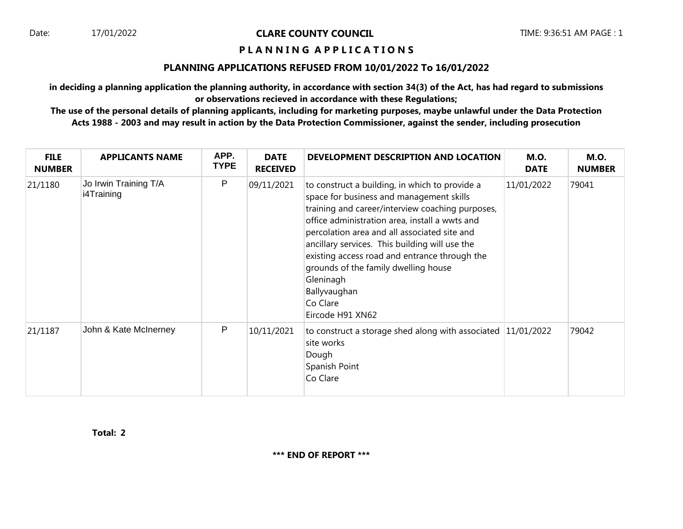Date: 17/01/2022 **CLARE COUNTY COUNCIL** TIME: 9:36:51 AM PAGE : 1

## **P L A N N I N G A P P L I C A T I O N S**

## **PLANNING APPLICATIONS REFUSED FROM 10/01/2022 To 16/01/2022**

**in deciding a planning application the planning authority, in accordance with section 34(3) of the Act, has had regard to submissions or observations recieved in accordance with these Regulations;**

**The use of the personal details of planning applicants, including for marketing purposes, maybe unlawful under the Data Protection Acts 1988 - 2003 and may result in action by the Data Protection Commissioner, against the sender, including prosecution**

| <b>FILE</b><br><b>NUMBER</b> | <b>APPLICANTS NAME</b>              | APP.<br><b>TYPE</b> | <b>DATE</b><br><b>RECEIVED</b> | DEVELOPMENT DESCRIPTION AND LOCATION                                                                                                                                                                                                                                                                                                                                                                                                                     | <b>M.O.</b><br><b>DATE</b> | <b>M.O.</b><br><b>NUMBER</b> |
|------------------------------|-------------------------------------|---------------------|--------------------------------|----------------------------------------------------------------------------------------------------------------------------------------------------------------------------------------------------------------------------------------------------------------------------------------------------------------------------------------------------------------------------------------------------------------------------------------------------------|----------------------------|------------------------------|
| 21/1180                      | Jo Irwin Training T/A<br>i4Training | P                   | 09/11/2021                     | to construct a building, in which to provide a<br>space for business and management skills<br>training and career/interview coaching purposes,<br>office administration area, install a wwts and<br>percolation area and all associated site and<br>ancillary services. This building will use the<br>existing access road and entrance through the<br>grounds of the family dwelling house<br>Gleninagh<br>Ballyvaughan<br>Co Clare<br>Eircode H91 XN62 | 11/01/2022                 | 79041                        |
| 21/1187                      | John & Kate McInerney               | P                   | 10/11/2021                     | to construct a storage shed along with associated $ 11/01/2022 $<br>site works<br>Dough<br>Spanish Point<br>Co Clare                                                                                                                                                                                                                                                                                                                                     |                            | 79042                        |

**Total: 2**

**\*\*\* END OF REPORT \*\*\***